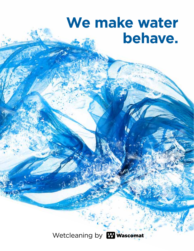## We make water behave.

Wetcleaning by **W** wascomat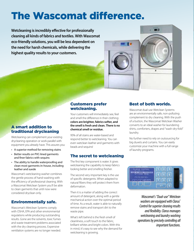### The Wascomat difference.

**Wetcleaning is incredibly effective for professionally cleaning all kinds of fabrics and textiles. With Wascomat eco-friendly solutions, you will be less dependent on the need for harsh chemicals, while delivering the highest quality results to your customers.** 



#### A smart addition to traditional drycleaning

Wetcleaning can complement your existing drycleaning operation or work parallel with equipment you already have. This assures you:

- A superior method for removing stains
- Better results on PVC-lined garments and finer fabrics with sequins
- The ability to handle waterproofing and clean most garments in-house, including leather and suede

Wascomat's wetcleaning washer combines the gentle process of hand-washing with the efficiency of professional cleaning. With a Wascomat Wetclean System you'll be able to clean garments that until now were considered dryclean only.

#### Environmentally safe.

Wascomat's Wetclean Systems comply with OSHA, EPA and other environmental regulations while producing outstanding results. Gone are the solvents, toxic fumes and waste treatment problems associated with the dry cleaning process. Expensive ventilation systems are no longer needed.

#### Customers prefer wetcleaning.

Your customers will immediately see, feel and smell the difference in their clothing: **colors are brighter, fabrics softer, and the smell is fresh and clean. There is no chemical smell or residue.**

95% of all stains are water-based and respond better to wetcleaning. You can even wetclean leather and garments with beads and sequins!

#### The secret to wetcleaning

The first key component is water. It gives wetcleaning the capability to keep fabrics looking better and smelling fresher.

The second very important key is the use of specific detergents. When adapted to natural fibers they will protect them from deformation.

Then it is a matter of adding the correct amount of detergent, along with a gentle mechanical action over the optimal period of time. As a result, water is able to naturally remove stains and transport dirt to the waste pipe.

What's left behind is the fresh smell of cleanliness, a soft touch to the fabric, brilliant whites and bright colors. With this in mind, it's easy to see why the demand for wetcleaning is growing.

#### Best of both worlds.

Wascomat dual-use Wetclean Systems are an environmentally safe, non-polluting complement to dry cleaning. With the push of a button, the Wascomat Wetclean Washer converts to an ideal washer for laundering shirts, comforters, drapes and "wash-dry-fold" laundry.

No further need to rely on outsourcing for big duvets and curtains. You can easily customize your machine with a full range of laundry programs.



*Wascomat's "Dual-use" Wetclean washers are equipped with Clarus® Control for superior cleaning results and flexibility. Clarus manages wetcleaning and laundry washing operations by precisely controlling all important functions.*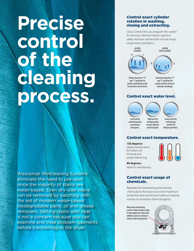# **Precise control of the cleaning process.**

Wascomat Wetcleaning Systems eliminate the need to pre-spot since the majority of stains are water-based. Even dry-side stains can be removed by batching with the aid of modern water-based biodegradable paint, oil and grease removers. Setting stains with heat is not a concern because you can examine and treat problem garments before transferring to the dryer.

#### Control exact cylinder rotation in washing, rinsing and extracting.

Clarus Control lets you program the washer for the exact desired rotation speed to safely wetclean and launder a broad range of garments and fabrics.



Clothes drop from "11" and "1" positions for greater mechanical action to maximize soil removal.

Garments drop from "9" and "3" positions for gentle machine action to eliminate shrinkage.

#### Control exact water level.



#### Control exact temperature.

**150 degrees:** Higher temperature for better soil removal and proper bleaching.



**80 degrees:** Ideal for wetcleaning.

#### Control exact usage of chemicals.

Regulate the wetcleaning and laundry chemicals to the exact ounce for maximum protection and soil removal without wasting money on excessive chemical agents.

Wascomat wetcleaning washers feature larger sumps to thoroughly mix water and additives prior to coming in contact with the garments.